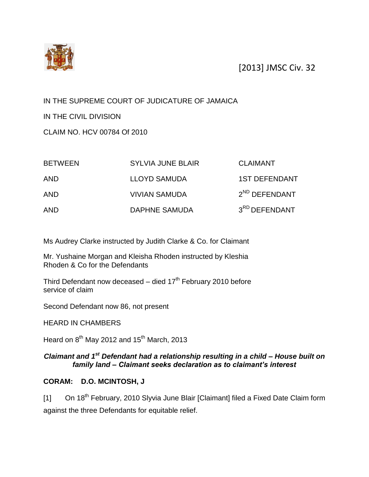

[2013] JMSC Civ. 32

## IN THE SUPREME COURT OF JUDICATURE OF JAMAICA

IN THE CIVIL DIVISION

CLAIM NO. HCV 00784 Of 2010

| <b>BETWEEN</b> | <b>SYLVIA JUNE BLAIR</b> | <b>CLAIMANT</b>           |
|----------------|--------------------------|---------------------------|
| <b>AND</b>     | <b>LLOYD SAMUDA</b>      | <b>1ST DEFENDANT</b>      |
| <b>AND</b>     | <b>VIVIAN SAMUDA</b>     | $2^{ND}$ DEFENDANT        |
| <b>AND</b>     | DAPHNE SAMUDA            | 3 <sup>RD</sup> DEFENDANT |

Ms Audrey Clarke instructed by Judith Clarke & Co. for Claimant

Mr. Yushaine Morgan and Kleisha Rhoden instructed by Kleshia Rhoden & Co for the Defendants

Third Defendant now deceased – died  $17<sup>th</sup>$  February 2010 before service of claim

Second Defendant now 86, not present

HEARD IN CHAMBERS

Heard on  $8^{th}$  May 2012 and 15<sup>th</sup> March, 2013

## *Claimant and 1st Defendant had a relationship resulting in a child – House built on family land – Claimant seeks declaration as to claimant's interest*

## **CORAM: D.O. MCINTOSH, J**

[1] On 18<sup>th</sup> February, 2010 Slyvia June Blair [Claimant] filed a Fixed Date Claim form against the three Defendants for equitable relief.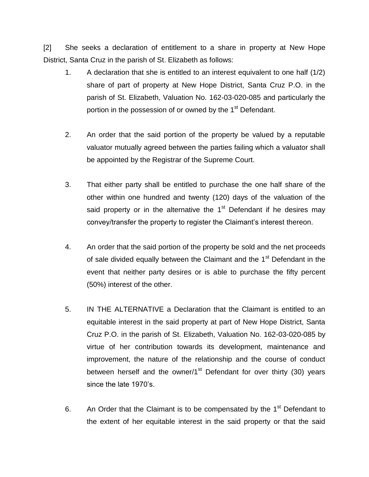[2] She seeks a declaration of entitlement to a share in property at New Hope District, Santa Cruz in the parish of St. Elizabeth as follows:

- 1. A declaration that she is entitled to an interest equivalent to one half (1/2) share of part of property at New Hope District, Santa Cruz P.O. in the parish of St. Elizabeth, Valuation No. 162-03-020-085 and particularly the portion in the possession of or owned by the 1<sup>st</sup> Defendant.
- 2. An order that the said portion of the property be valued by a reputable valuator mutually agreed between the parties failing which a valuator shall be appointed by the Registrar of the Supreme Court.
- 3. That either party shall be entitled to purchase the one half share of the other within one hundred and twenty (120) days of the valuation of the said property or in the alternative the  $1<sup>st</sup>$  Defendant if he desires may convey/transfer the property to register the Claimant's interest thereon.
- 4. An order that the said portion of the property be sold and the net proceeds of sale divided equally between the Claimant and the 1<sup>st</sup> Defendant in the event that neither party desires or is able to purchase the fifty percent (50%) interest of the other.
- 5. IN THE ALTERNATIVE a Declaration that the Claimant is entitled to an equitable interest in the said property at part of New Hope District, Santa Cruz P.O. in the parish of St. Elizabeth, Valuation No. 162-03-020-085 by virtue of her contribution towards its development, maintenance and improvement, the nature of the relationship and the course of conduct between herself and the owner/1 $<sup>st</sup>$  Defendant for over thirty (30) years</sup> since the late 1970's.
- 6. An Order that the Claimant is to be compensated by the  $1<sup>st</sup>$  Defendant to the extent of her equitable interest in the said property or that the said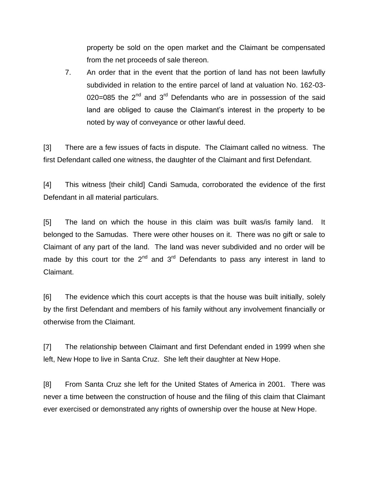property be sold on the open market and the Claimant be compensated from the net proceeds of sale thereon.

7. An order that in the event that the portion of land has not been lawfully subdivided in relation to the entire parcel of land at valuation No. 162-03- 020=085 the  $2<sup>nd</sup>$  and  $3<sup>rd</sup>$  Defendants who are in possession of the said land are obliged to cause the Claimant's interest in the property to be noted by way of conveyance or other lawful deed.

[3] There are a few issues of facts in dispute. The Claimant called no witness. The first Defendant called one witness, the daughter of the Claimant and first Defendant.

[4] This witness [their child] Candi Samuda, corroborated the evidence of the first Defendant in all material particulars.

[5] The land on which the house in this claim was built was/is family land. It belonged to the Samudas. There were other houses on it. There was no gift or sale to Claimant of any part of the land. The land was never subdivided and no order will be made by this court tor the  $2^{nd}$  and  $3^{rd}$  Defendants to pass any interest in land to Claimant.

[6] The evidence which this court accepts is that the house was built initially, solely by the first Defendant and members of his family without any involvement financially or otherwise from the Claimant.

[7] The relationship between Claimant and first Defendant ended in 1999 when she left, New Hope to live in Santa Cruz. She left their daughter at New Hope.

[8] From Santa Cruz she left for the United States of America in 2001. There was never a time between the construction of house and the filing of this claim that Claimant ever exercised or demonstrated any rights of ownership over the house at New Hope.